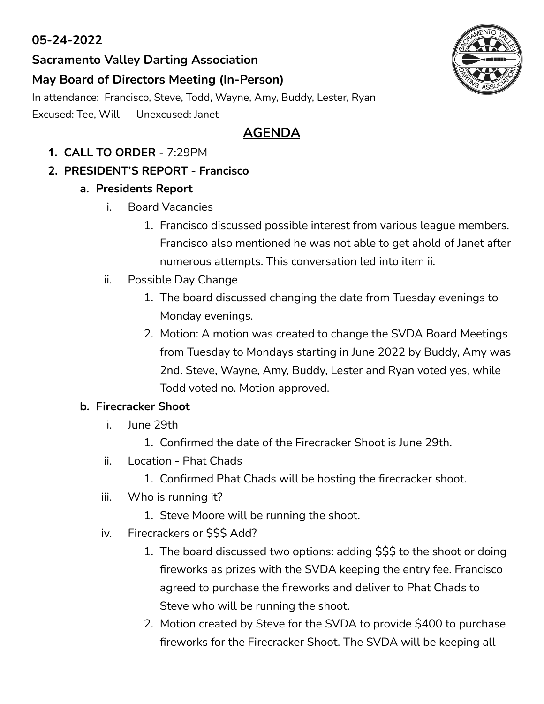## **05-24-2022**

## **Sacramento Valley Darting Association**

### **May Board of Directors Meeting (In-Person)**

In attendance: Francisco, Steve, Todd, Wayne, Amy, Buddy, Lester, Ryan Excused: Tee, Will Unexcused: Janet

# **AGENDA**

- **1. CALL TO ORDER -** 7:29PM
- **2. PRESIDENT'S REPORT - Francisco**

### **a. Presidents Report**

- i. Board Vacancies
	- 1. Francisco discussed possible interest from various league members. Francisco also mentioned he was not able to get ahold of Janet after numerous attempts. This conversation led into item ii.
- ii. Possible Day Change
	- 1. The board discussed changing the date from Tuesday evenings to Monday evenings.
	- 2. Motion: A motion was created to change the SVDA Board Meetings from Tuesday to Mondays starting in June 2022 by Buddy, Amy was 2nd. Steve, Wayne, Amy, Buddy, Lester and Ryan voted yes, while Todd voted no. Motion approved.

#### **b. Firecracker Shoot**

- i. June 29th
	- 1. Confirmed the date of the Firecracker Shoot is June 29th.
- ii. Location Phat Chads
	- 1. Confirmed Phat Chads will be hosting the firecracker shoot.
- iii. Who is running it?
	- 1. Steve Moore will be running the shoot.
- iv. Firecrackers or \$\$\$ Add?
	- 1. The board discussed two options: adding \$\$\$ to the shoot or doing fireworks as prizes with the SVDA keeping the entry fee. Francisco agreed to purchase the fireworks and deliver to Phat Chads to Steve who will be running the shoot.
	- 2. Motion created by Steve for the SVDA to provide \$400 to purchase fireworks for the Firecracker Shoot. The SVDA will be keeping all

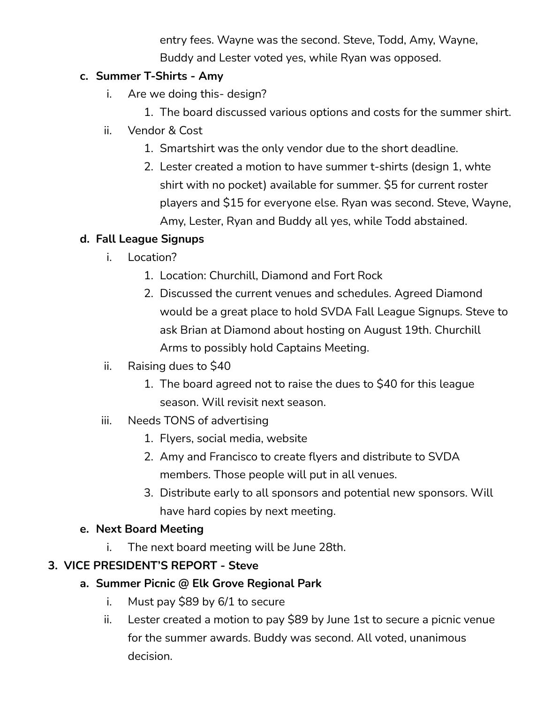entry fees. Wayne was the second. Steve, Todd, Amy, Wayne, Buddy and Lester voted yes, while Ryan was opposed.

### **c. Summer T-Shirts - Amy**

- i. Are we doing this- design?
	- 1. The board discussed various options and costs for the summer shirt.
- ii. Vendor & Cost
	- 1. Smartshirt was the only vendor due to the short deadline.
	- 2. Lester created a motion to have summer t-shirts (design 1, whte shirt with no pocket) available for summer. \$5 for current roster players and \$15 for everyone else. Ryan was second. Steve, Wayne, Amy, Lester, Ryan and Buddy all yes, while Todd abstained.

## **d. Fall League Signups**

- i. Location?
	- 1. Location: Churchill, Diamond and Fort Rock
	- 2. Discussed the current venues and schedules. Agreed Diamond would be a great place to hold SVDA Fall League Signups. Steve to ask Brian at Diamond about hosting on August 19th. Churchill Arms to possibly hold Captains Meeting.
- ii. Raising dues to \$40
	- 1. The board agreed not to raise the dues to \$40 for this league season. Will revisit next season.
- iii. Needs TONS of advertising
	- 1. Flyers, social media, website
	- 2. Amy and Francisco to create flyers and distribute to SVDA members. Those people will put in all venues.
	- 3. Distribute early to all sponsors and potential new sponsors. Will have hard copies by next meeting.

#### **e. Next Board Meeting**

i. The next board meeting will be June 28th.

## **3. VICE PRESIDENT'S REPORT - Steve**

- **a. Summer Picnic @ Elk Grove Regional Park**
	- i. Must pay \$89 by 6/1 to secure
	- ii. Lester created a motion to pay \$89 by June 1st to secure a picnic venue for the summer awards. Buddy was second. All voted, unanimous decision.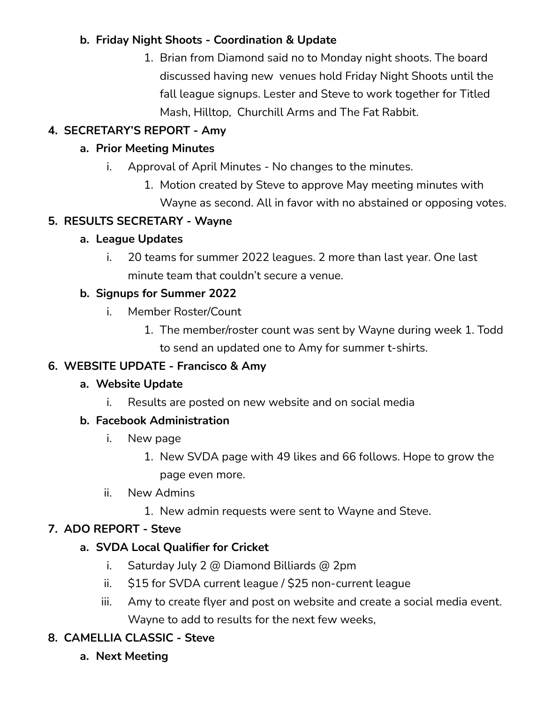### **b. Friday Night Shoots - Coordination & Update**

1. Brian from Diamond said no to Monday night shoots. The board discussed having new venues hold Friday Night Shoots until the fall league signups. Lester and Steve to work together for Titled Mash, Hilltop, Churchill Arms and The Fat Rabbit.

## **4. SECRETARY'S REPORT - Amy**

### **a. Prior Meeting Minutes**

- i. Approval of April Minutes No changes to the minutes.
	- 1. Motion created by Steve to approve May meeting minutes with Wayne as second. All in favor with no abstained or opposing votes.

### **5. RESULTS SECRETARY - Wayne**

### **a. League Updates**

i. 20 teams for summer 2022 leagues. 2 more than last year. One last minute team that couldn't secure a venue.

### **b. Signups for Summer 2022**

- i. Member Roster/Count
	- 1. The member/roster count was sent by Wayne during week 1. Todd to send an updated one to Amy for summer t-shirts.

## **6. WEBSITE UPDATE - Francisco & Amy**

#### **a. Website Update**

i. Results are posted on new website and on social media

#### **b. Facebook Administration**

- i. New page
	- 1. New SVDA page with 49 likes and 66 follows. Hope to grow the page even more.
- ii. New Admins
	- 1. New admin requests were sent to Wayne and Steve.

## **7. ADO REPORT - Steve**

#### **a. SVDA Local Qualifier for Cricket**

- i. Saturday July 2 @ Diamond Billiards @ 2pm
- ii. \$15 for SVDA current league / \$25 non-current league
- iii. Amy to create flyer and post on website and create a social media event. Wayne to add to results for the next few weeks,
- **8. CAMELLIA CLASSIC - Steve**
	- **a. Next Meeting**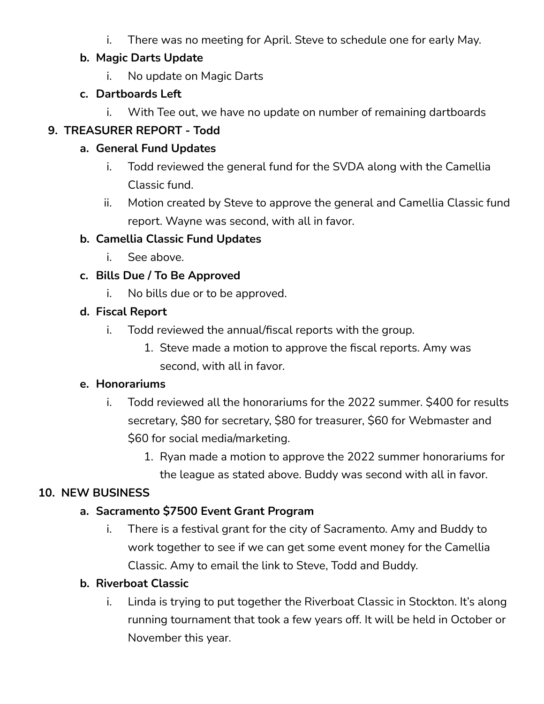i. There was no meeting for April. Steve to schedule one for early May.

### **b. Magic Darts Update**

i. No update on Magic Darts

## **c. Dartboards Left**

i. With Tee out, we have no update on number of remaining dartboards

## **9. TREASURER REPORT - Todd**

## **a. General Fund Updates**

- i. Todd reviewed the general fund for the SVDA along with the Camellia Classic fund.
- ii. Motion created by Steve to approve the general and Camellia Classic fund report. Wayne was second, with all in favor.

## **b. Camellia Classic Fund Updates**

i. See above.

## **c. Bills Due / To Be Approved**

i. No bills due or to be approved.

## **d. Fiscal Report**

- i. Todd reviewed the annual/fiscal reports with the group.
	- 1. Steve made a motion to approve the fiscal reports. Amy was second, with all in favor.

## **e. Honorariums**

- i. Todd reviewed all the honorariums for the 2022 summer. \$400 for results secretary, \$80 for secretary, \$80 for treasurer, \$60 for Webmaster and \$60 for social media/marketing.
	- 1. Ryan made a motion to approve the 2022 summer honorariums for the league as stated above. Buddy was second with all in favor.

## **10. NEW BUSINESS**

## **a. Sacramento \$7500 Event Grant Program**

i. There is a festival grant for the city of Sacramento. Amy and Buddy to work together to see if we can get some event money for the Camellia Classic. Amy to email the link to Steve, Todd and Buddy.

## **b. Riverboat Classic**

i. Linda is trying to put together the Riverboat Classic in Stockton. It's along running tournament that took a few years off. It will be held in October or November this year.